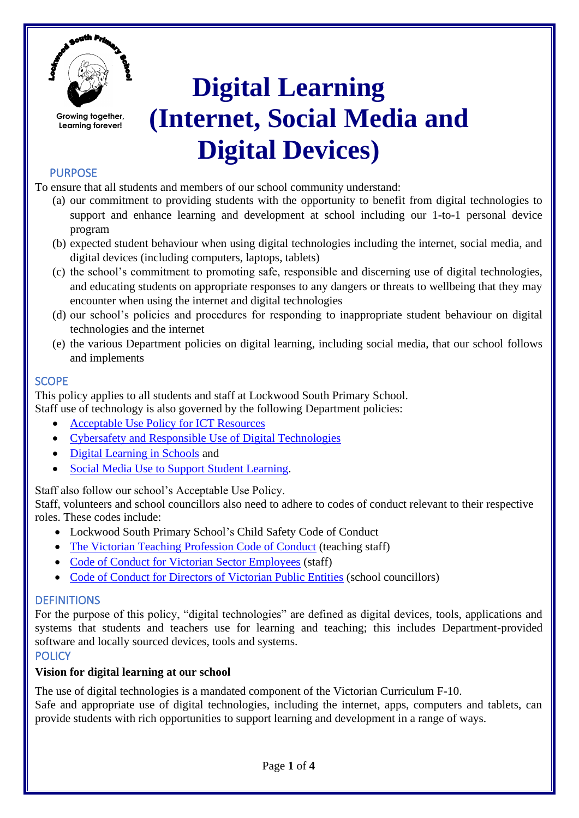

# **Digital Learning (Internet, Social Media and Digital Devices)**

# PURPOSE

To ensure that all students and members of our school community understand:

- (a) our commitment to providing students with the opportunity to benefit from digital technologies to support and enhance learning and development at school including our 1-to-1 personal device program
- (b) expected student behaviour when using digital technologies including the internet, social media, and digital devices (including computers, laptops, tablets)
- (c) the school's commitment to promoting safe, responsible and discerning use of digital technologies, and educating students on appropriate responses to any dangers or threats to wellbeing that they may encounter when using the internet and digital technologies
- (d) our school's policies and procedures for responding to inappropriate student behaviour on digital technologies and the internet
- (e) the various Department policies on digital learning, including social media, that our school follows and implements

## **SCOPE**

This policy applies to all students and staff at Lockwood South Primary School.

Staff use of technology is also governed by the following Department policies:

- [Acceptable Use Policy for ICT Resources](https://www2.education.vic.gov.au/pal/ict-acceptable-use/overview)
- [Cybersafety and Responsible Use of Digital Technologies](https://www2.education.vic.gov.au/pal/cybersafety/policy)
- [Digital Learning in Schools](https://www2.education.vic.gov.au/pal/digital-learning/policy) and
- **[Social Media Use to Support Student Learning.](https://www2.education.vic.gov.au/pal/social-media/policy)**

Staff also follow our school's Acceptable Use Policy.

Staff, volunteers and school councillors also need to adhere to codes of conduct relevant to their respective roles. These codes include:

- Lockwood South Primary School's Child Safety Code of Conduct
- [The Victorian Teaching Profession Code of Conduct](https://www.vit.vic.edu.au/__data/assets/pdf_file/0018/35604/Code-of-Conduct-2016.pdf) (teaching staff)
- [Code of Conduct for Victorian Sector Employees](https://www2.education.vic.gov.au/pal/code-conduct/overview) (staff)
- [Code of Conduct for Directors of Victorian Public Entities](https://www2.education.vic.gov.au/pal/school-council-conduct/policy) (school councillors)

# **DEFINITIONS**

For the purpose of this policy, "digital technologies" are defined as digital devices, tools, applications and systems that students and teachers use for learning and teaching; this includes Department-provided software and locally sourced devices, tools and systems.

## **POLICY**

#### **Vision for digital learning at our school**

The use of digital technologies is a mandated component of the Victorian Curriculum F-10.

Safe and appropriate use of digital technologies, including the internet, apps, computers and tablets, can provide students with rich opportunities to support learning and development in a range of ways.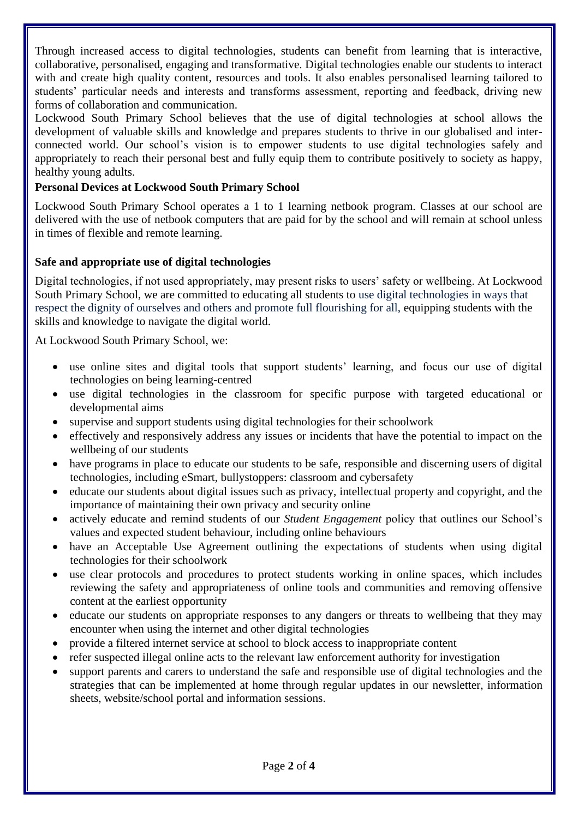Through increased access to digital technologies, students can benefit from learning that is interactive, collaborative, personalised, engaging and transformative. Digital technologies enable our students to interact with and create high quality content, resources and tools. It also enables personalised learning tailored to students' particular needs and interests and transforms assessment, reporting and feedback, driving new forms of collaboration and communication.

Lockwood South Primary School believes that the use of digital technologies at school allows the development of valuable skills and knowledge and prepares students to thrive in our globalised and interconnected world. Our school's vision is to empower students to use digital technologies safely and appropriately to reach their personal best and fully equip them to contribute positively to society as happy, healthy young adults.

## **Personal Devices at Lockwood South Primary School**

Lockwood South Primary School operates a 1 to 1 learning netbook program. Classes at our school are delivered with the use of netbook computers that are paid for by the school and will remain at school unless in times of flexible and remote learning.

## **Safe and appropriate use of digital technologies**

Digital technologies, if not used appropriately, may present risks to users' safety or wellbeing. At Lockwood South Primary School, we are committed to educating all students to use digital technologies in ways that respect the dignity of ourselves and others and promote full flourishing for all, equipping students with the skills and knowledge to navigate the digital world.

At Lockwood South Primary School, we:

- use online sites and digital tools that support students' learning, and focus our use of digital technologies on being learning-centred
- use digital technologies in the classroom for specific purpose with targeted educational or developmental aims
- supervise and support students using digital technologies for their schoolwork
- effectively and responsively address any issues or incidents that have the potential to impact on the wellbeing of our students
- have programs in place to educate our students to be safe, responsible and discerning users of digital technologies, including eSmart, bullystoppers: classroom and cybersafety
- educate our students about digital issues such as privacy, intellectual property and copyright, and the importance of maintaining their own privacy and security online
- actively educate and remind students of our *Student Engagement* policy that outlines our School's values and expected student behaviour, including online behaviours
- have an Acceptable Use Agreement outlining the expectations of students when using digital technologies for their schoolwork
- use clear protocols and procedures to protect students working in online spaces, which includes reviewing the safety and appropriateness of online tools and communities and removing offensive content at the earliest opportunity
- educate our students on appropriate responses to any dangers or threats to wellbeing that they may encounter when using the internet and other digital technologies
- provide a filtered internet service at school to block access to inappropriate content
- refer suspected illegal online acts to the relevant law enforcement authority for investigation
- support parents and carers to understand the safe and responsible use of digital technologies and the strategies that can be implemented at home through regular updates in our newsletter, information sheets, website/school portal and information sessions.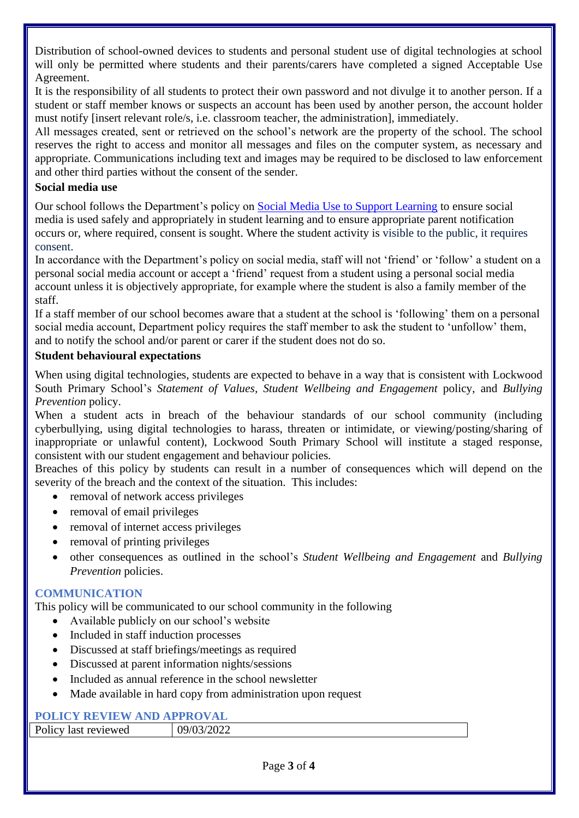Distribution of school-owned devices to students and personal student use of digital technologies at school will only be permitted where students and their parents/carers have completed a signed Acceptable Use Agreement.

It is the responsibility of all students to protect their own password and not divulge it to another person. If a student or staff member knows or suspects an account has been used by another person, the account holder must notify [insert relevant role/s, i.e. classroom teacher, the administration], immediately.

All messages created, sent or retrieved on the school's network are the property of the school. The school reserves the right to access and monitor all messages and files on the computer system, as necessary and appropriate. Communications including text and images may be required to be disclosed to law enforcement and other third parties without the consent of the sender.

#### **Social media use**

Our school follows the Department's policy on [Social Media Use to Support Learning](https://www2.education.vic.gov.au/pal/social-media/policy) to ensure social media is used safely and appropriately in student learning and to ensure appropriate parent notification occurs or, where required, consent is sought. Where the student activity is visible to the public, it requires consent.

In accordance with the Department's policy on social media, staff will not 'friend' or 'follow' a student on a personal social media account or accept a 'friend' request from a student using a personal social media account unless it is objectively appropriate, for example where the student is also a family member of the staff.

If a staff member of our school becomes aware that a student at the school is 'following' them on a personal social media account, Department policy requires the staff member to ask the student to 'unfollow' them, and to notify the school and/or parent or carer if the student does not do so.

#### **Student behavioural expectations**

When using digital technologies, students are expected to behave in a way that is consistent with Lockwood South Primary School's *Statement of Values, Student Wellbeing and Engagement* policy, and *Bullying Prevention* policy.

When a student acts in breach of the behaviour standards of our school community (including cyberbullying, using digital technologies to harass, threaten or intimidate, or viewing/posting/sharing of inappropriate or unlawful content), Lockwood South Primary School will institute a staged response, consistent with our student engagement and behaviour policies*.*

Breaches of this policy by students can result in a number of consequences which will depend on the severity of the breach and the context of the situation. This includes:

- removal of network access privileges
- removal of email privileges
- removal of internet access privileges
- removal of printing privileges
- other consequences as outlined in the school's *Student Wellbeing and Engagement* and *Bullying Prevention* policies.

#### **COMMUNICATION**

This policy will be communicated to our school community in the following

- Available publicly on our school's website
- Included in staff induction processes
- Discussed at staff briefings/meetings as required
- Discussed at parent information nights/sessions
- Included as annual reference in the school newsletter
- Made available in hard copy from administration upon request

# **POLICY REVIEW AND APPROVAL**

| TOLICI NEVIEW AND ALLINOVAD |            |
|-----------------------------|------------|
| Policy last reviewed        | 09/03/2022 |
|                             |            |